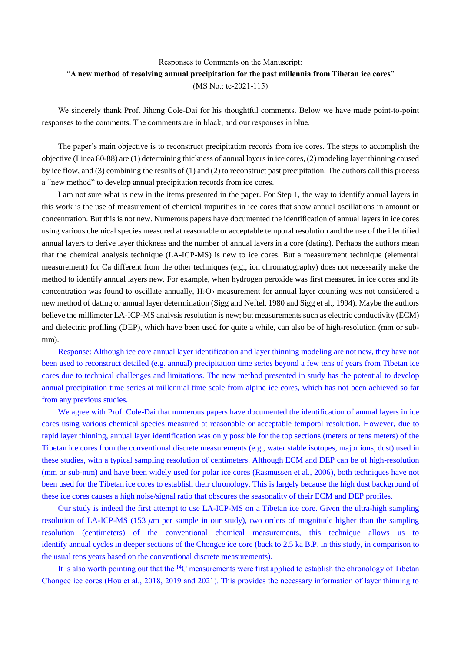## Responses to Comments on the Manuscript: "**A new method of resolving annual precipitation for the past millennia from Tibetan ice cores**" (MS No.: tc-2021-115)

We sincerely thank Prof. Jihong Cole-Dai for his thoughtful comments. Below we have made point-to-point responses to the comments. The comments are in black, and our responses in blue.

The paper's main objective is to reconstruct precipitation records from ice cores. The steps to accomplish the objective (Linea 80-88) are (1) determining thickness of annual layers in ice cores, (2) modeling layer thinning caused by ice flow, and (3) combining the results of (1) and (2) to reconstruct past precipitation. The authors call this process a "new method" to develop annual precipitation records from ice cores.

I am not sure what is new in the items presented in the paper. For Step 1, the way to identify annual layers in this work is the use of measurement of chemical impurities in ice cores that show annual oscillations in amount or concentration. But this is not new. Numerous papers have documented the identification of annual layers in ice cores using various chemical species measured at reasonable or acceptable temporal resolution and the use of the identified annual layers to derive layer thickness and the number of annual layers in a core (dating). Perhaps the authors mean that the chemical analysis technique (LA-ICP-MS) is new to ice cores. But a measurement technique (elemental measurement) for Ca different from the other techniques (e.g., ion chromatography) does not necessarily make the method to identify annual layers new. For example, when hydrogen peroxide was first measured in ice cores and its concentration was found to oscillate annually,  $H_2O_2$  measurement for annual layer counting was not considered a new method of dating or annual layer determination (Sigg and Neftel, 1980 and Sigg et al., 1994). Maybe the authors believe the millimeter LA-ICP-MS analysis resolution is new; but measurements such as electric conductivity (ECM) and dielectric profiling (DEP), which have been used for quite a while, can also be of high-resolution (mm or submm).

Response: Although ice core annual layer identification and layer thinning modeling are not new, they have not been used to reconstruct detailed (e.g. annual) precipitation time series beyond a few tens of years from Tibetan ice cores due to technical challenges and limitations. The new method presented in study has the potential to develop annual precipitation time series at millennial time scale from alpine ice cores, which has not been achieved so far from any previous studies.

We agree with Prof. Cole-Dai that numerous papers have documented the identification of annual layers in ice cores using various chemical species measured at reasonable or acceptable temporal resolution. However, due to rapid layer thinning, annual layer identification was only possible for the top sections (meters or tens meters) of the Tibetan ice cores from the conventional discrete measurements (e.g., water stable isotopes, major ions, dust) used in these studies, with a typical sampling resolution of centimeters. Although ECM and DEP can be of high-resolution (mm or sub-mm) and have been widely used for polar ice cores (Rasmussen et al., 2006), both techniques have not been used for the Tibetan ice cores to establish their chronology. This is largely because the high dust background of these ice cores causes a high noise/signal ratio that obscures the seasonality of their ECM and DEP profiles.

Our study is indeed the first attempt to use LA-ICP-MS on a Tibetan ice core. Given the ultra-high sampling resolution of LA-ICP-MS (153 *μ*m per sample in our study), two orders of magnitude higher than the sampling resolution (centimeters) of the conventional chemical measurements, this technique allows us to identify annual cycles in deeper sections of the Chongce ice core (back to 2.5 ka B.P. in this study, in comparison to the usual tens years based on the conventional discrete measurements).

It is also worth pointing out that the <sup>14</sup>C measurements were first applied to establish the chronology of Tibetan Chongce ice cores (Hou et al., 2018, 2019 and 2021). This provides the necessary information of layer thinning to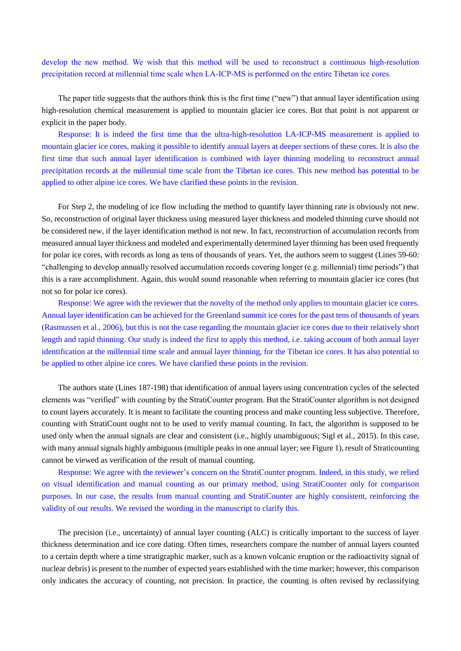develop the new method. We wish that this method will be used to reconstruct a continuous high-resolution precipitation record at millennial time scale when LA-ICP-MS is performed on the entire Tibetan ice cores.

The paper title suggests that the authors think this is the first time ("new") that annual layer identification using high-resolution chemical measurement is applied to mountain glacier ice cores. But that point is not apparent or explicit in the paper body.

Response: It is indeed the first time that the ultra-high-resolution LA-ICP-MS measurement is applied to mountain glacier ice cores, making it possible to identify annual layers at deeper sections of these cores. It is also the first time that such annual layer identification is combined with layer thinning modeling to reconstruct annual precipitation records at the millennial time scale from the Tibetan ice cores. This new method has potential to be applied to other alpine ice cores. We have clarified these points in the revision.

For Step 2, the modeling of ice flow including the method to quantify layer thinning rate is obviously not new. So, reconstruction of original layer thickness using measured layer thickness and modeled thinning curve should not be considered new, if the layer identification method is not new. In fact, reconstruction of accumulation records from measured annual layer thickness and modeled and experimentally determined layer thinning has been used frequently for polar ice cores, with records as long as tens of thousands of years. Yet, the authors seem to suggest (Lines 59-60: "challenging to develop annually resolved accumulation records covering longer (e.g. millennial) time periods") that this is a rare accomplishment. Again, this would sound reasonable when referring to mountain glacier ice cores (but not so for polar ice cores).

Response: We agree with the reviewer that the novelty of the method only applies to mountain glacier ice cores. Annual layer identification can be achieved for the Greenland summit ice cores for the past tens of thousands of years (Rasmussen et al., 2006), but this is not the case regarding the mountain glacier ice cores due to their relatively short length and rapid thinning. Our study is indeed the first to apply this method, i.e. taking account of both annual layer identification at the millennial time scale and annual layer thinning, for the Tibetan ice cores. It has also potential to be applied to other alpine ice cores. We have clarified these points in the revision.

The authors state (Lines 187-198) that identification of annual layers using concentration cycles of the selected elements was "verified" with counting by the StratiCounter program. But the StratiCounter algorithm is not designed to count layers accurately. It is meant to facilitate the counting process and make counting less subjective. Therefore, counting with StratiCount ought not to be used to verify manual counting. In fact, the algorithm is supposed to be used only when the annual signals are clear and consistent (i.e., highly unambiguous; Sigl et al., 2015). In this case, with many annual signals highly ambiguous (multiple peaks in one annual layer; see Figure 1), result of Straticounting cannot be viewed as verification of the result of manual counting.

Response: We agree with the reviewer's concern on the StratiCounter program. Indeed, in this study, we relied on visual identification and manual counting as our primary method, using StratiCounter only for comparison purposes. In our case, the results from manual counting and StratiCounter are highly consistent, reinforcing the validity of our results. We revised the wording in the manuscript to clarify this.

The precision (i.e., uncertainty) of annual layer counting (ALC) is critically important to the success of layer thickness determination and ice core dating. Often times, researchers compare the number of annual layers counted to a certain depth where a time stratigraphic marker, such as a known volcanic eruption or the radioactivity signal of nuclear debris) is present to the number of expected years established with the time marker; however, this comparison only indicates the accuracy of counting, not precision. In practice, the counting is often revised by reclassifying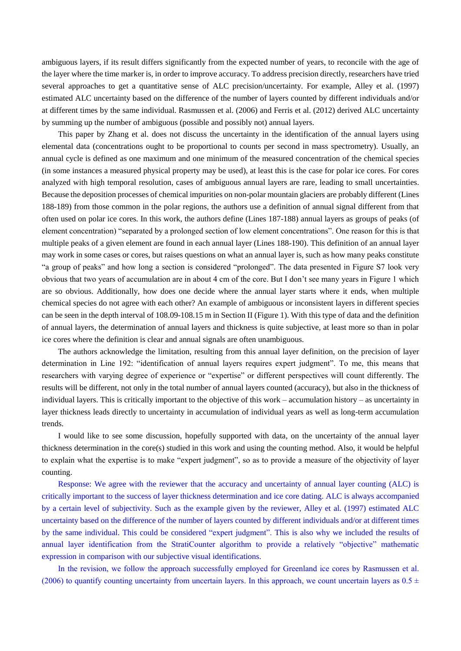ambiguous layers, if its result differs significantly from the expected number of years, to reconcile with the age of the layer where the time marker is, in order to improve accuracy. To address precision directly, researchers have tried several approaches to get a quantitative sense of ALC precision/uncertainty. For example, Alley et al. (1997) estimated ALC uncertainty based on the difference of the number of layers counted by different individuals and/or at different times by the same individual. Rasmussen et al. (2006) and Ferris et al. (2012) derived ALC uncertainty by summing up the number of ambiguous (possible and possibly not) annual layers.

This paper by Zhang et al. does not discuss the uncertainty in the identification of the annual layers using elemental data (concentrations ought to be proportional to counts per second in mass spectrometry). Usually, an annual cycle is defined as one maximum and one minimum of the measured concentration of the chemical species (in some instances a measured physical property may be used), at least this is the case for polar ice cores. For cores analyzed with high temporal resolution, cases of ambiguous annual layers are rare, leading to small uncertainties. Because the deposition processes of chemical impurities on non-polar mountain glaciers are probably different (Lines 188-189) from those common in the polar regions, the authors use a definition of annual signal different from that often used on polar ice cores. In this work, the authors define (Lines 187-188) annual layers as groups of peaks (of element concentration) "separated by a prolonged section of low element concentrations". One reason for this is that multiple peaks of a given element are found in each annual layer (Lines 188-190). This definition of an annual layer may work in some cases or cores, but raises questions on what an annual layer is, such as how many peaks constitute "a group of peaks" and how long a section is considered "prolonged". The data presented in Figure S7 look very obvious that two years of accumulation are in about 4 cm of the core. But I don't see many years in Figure 1 which are so obvious. Additionally, how does one decide where the annual layer starts where it ends, when multiple chemical species do not agree with each other? An example of ambiguous or inconsistent layers in different species can be seen in the depth interval of 108.09-108.15 m in Section II (Figure 1). With this type of data and the definition of annual layers, the determination of annual layers and thickness is quite subjective, at least more so than in polar ice cores where the definition is clear and annual signals are often unambiguous.

The authors acknowledge the limitation, resulting from this annual layer definition, on the precision of layer determination in Line 192: "identification of annual layers requires expert judgment". To me, this means that researchers with varying degree of experience or "expertise" or different perspectives will count differently. The results will be different, not only in the total number of annual layers counted (accuracy), but also in the thickness of individual layers. This is critically important to the objective of this work – accumulation history – as uncertainty in layer thickness leads directly to uncertainty in accumulation of individual years as well as long-term accumulation trends.

I would like to see some discussion, hopefully supported with data, on the uncertainty of the annual layer thickness determination in the core(s) studied in this work and using the counting method. Also, it would be helpful to explain what the expertise is to make "expert judgment", so as to provide a measure of the objectivity of layer counting.

Response: We agree with the reviewer that the accuracy and uncertainty of annual layer counting (ALC) is critically important to the success of layer thickness determination and ice core dating. ALC is always accompanied by a certain level of subjectivity. Such as the example given by the reviewer, Alley et al. (1997) estimated ALC uncertainty based on the difference of the number of layers counted by different individuals and/or at different times by the same individual. This could be considered "expert judgment". This is also why we included the results of annual layer identification from the StratiCounter algorithm to provide a relatively "objective" mathematic expression in comparison with our subjective visual identifications.

In the revision, we follow the approach successfully employed for Greenland ice cores by Rasmussen et al. (2006) to quantify counting uncertainty from uncertain layers. In this approach, we count uncertain layers as  $0.5 \pm$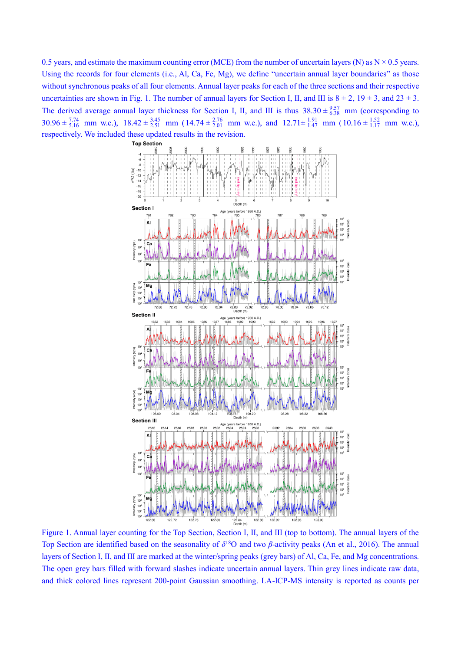0.5 years, and estimate the maximum counting error (MCE) from the number of uncertain layers (N) as  $N \times 0.5$  years. Using the records for four elements (i.e., Al, Ca, Fe, Mg), we define "uncertain annual layer boundaries" as those without synchronous peaks of all four elements. Annual layer peaks for each of the three sections and their respective uncertainties are shown in Fig. 1. The number of annual layers for Section I, II, and III is  $8 \pm 2$ ,  $19 \pm 3$ , and  $23 \pm 3$ . The derived average annual layer thickness for Section I, II, and III is thus  $38.30 \pm \frac{9.57}{6.38}$  mm (corresponding to  $30.96 \pm \frac{7.74}{5.16}$  mm w.e.),  $18.42 \pm \frac{3.45}{2.51}$  mm ( $14.74 \pm \frac{2.76}{2.01}$  mm w.e.), and  $12.71 \pm \frac{1.91}{1.47}$  mm ( $10.16 \pm \frac{1.52}{1.17}$  mm w.e.), respectively. We included these updated results in the revision.



Figure 1. Annual layer counting for the Top Section, Section Ⅰ, Ⅱ, and Ⅲ (top to bottom). The annual layers of the Top Section are identified based on the seasonality of  $\delta^{18}$ O and two *β*-activity peaks (An et al., 2016). The annual layers of Section Ⅰ, Ⅱ, and Ⅲ are marked at the winter/spring peaks (grey bars) of Al, Ca, Fe, and Mg concentrations. The open grey bars filled with forward slashes indicate uncertain annual layers. Thin grey lines indicate raw data, and thick colored lines represent 200-point Gaussian smoothing. LA-ICP-MS intensity is reported as counts per